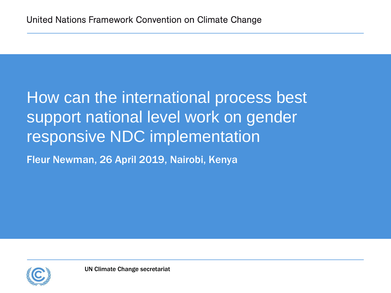# How can the international process best support national level work on gender responsive NDC implementation

Fleur Newman, 26 April 2019, Nairobi, Kenya

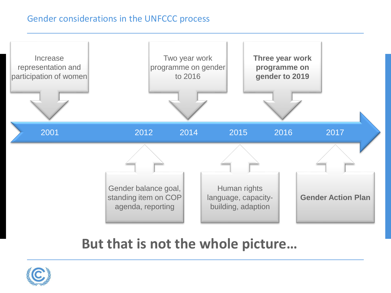#### Gender considerations in the UNFCCC process



# **But that is not the whole picture…**

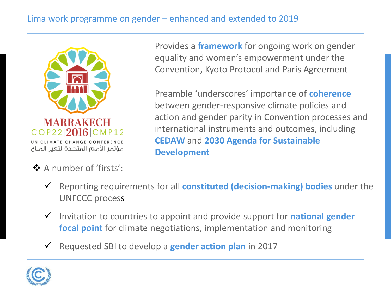### Lima work programme on gender – enhanced and extended to 2019



# ❖ A number of 'firsts':

Provides a **framework** for ongoing work on gender equality and women's empowerment under the Convention, Kyoto Protocol and Paris Agreement

Preamble 'underscores' importance of **coherence**  between gender-responsive climate policies and action and gender parity in Convention processes and international instruments and outcomes, including **CEDAW** and **2030 Agenda for Sustainable Development** 

- ✓ Reporting requirements for all **constituted (decision-making) bodies** under the UNFCCC process
- ✓ Invitation to countries to appoint and provide support for **national gender focal point** for climate negotiations, implementation and monitoring
- ✓ Requested SBI to develop a **gender action plan** in 2017

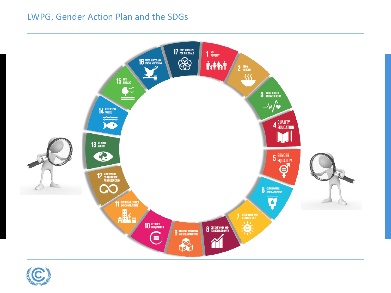#### LWPG, Gender Action Plan and the SDGs



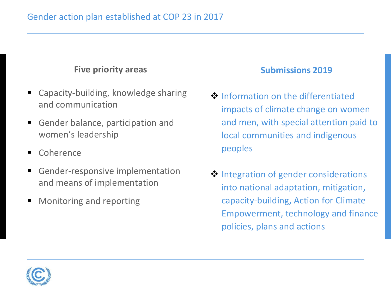#### **Five priority areas**

- Capacity-building, knowledge sharing and communication
- Gender balance, participation and women's leadership
- Coherence
- **EX Gender-responsive implementation** and means of implementation
- Monitoring and reporting

#### **Submissions 2019**

- ❖ Information on the differentiated impacts of climate change on women and men, with special attention paid to local communities and indigenous peoples
- ❖ Integration of gender considerations into national adaptation, mitigation, capacity-building, Action for Climate Empowerment, technology and finance policies, plans and actions

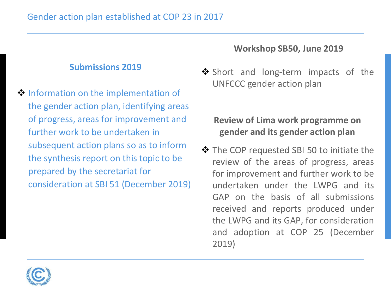#### **Submissions 2019**

❖ Information on the implementation of the gender action plan, identifying areas of progress, areas for improvement and further work to be undertaken in subsequent action plans so as to inform the synthesis report on this topic to be prepared by the secretariat for consideration at SBI 51 (December 2019)

#### **Workshop SB50, June 2019**

❖ Short and long-term impacts of the UNFCCC gender action plan

## **Review of Lima work programme on gender and its gender action plan**

❖ The COP requested SBI 50 to initiate the review of the areas of progress, areas for improvement and further work to be undertaken under the LWPG and its GAP on the basis of all submissions received and reports produced under the LWPG and its GAP, for consideration and adoption at COP 25 (December 2019)

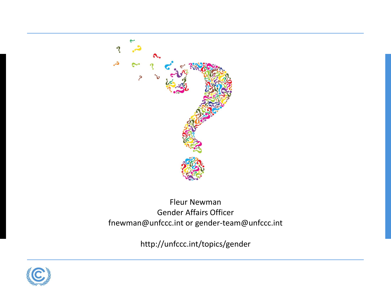

Fleur Newman Gender Affairs Officer fnewman@unfccc.int or gender-team@unfccc.int

http://unfccc.int/topics/gender

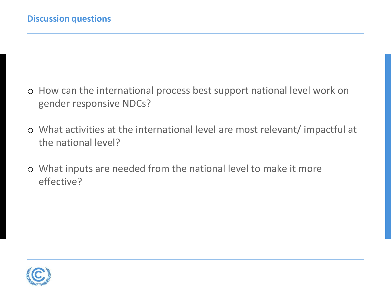- o How can the international process best support national level work on gender responsive NDCs?
- o What activities at the international level are most relevant/ impactful at the national level?
- o What inputs are needed from the national level to make it more effective?